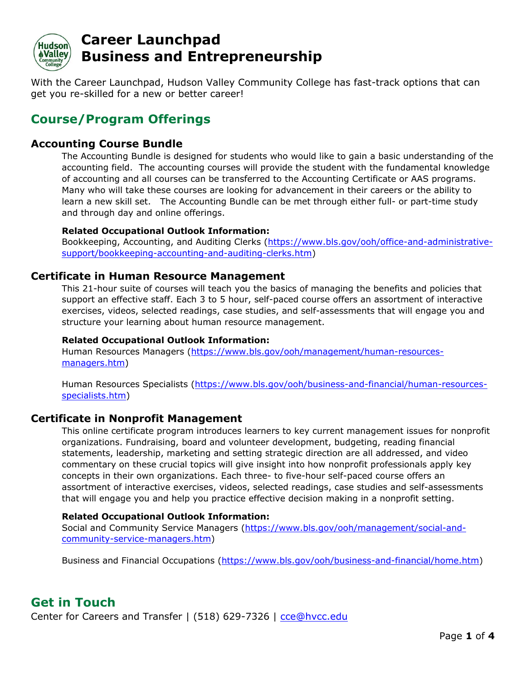

With the Career Launchpad, Hudson Valley Community College has fast-track options that can get you re-skilled for a new or better career!

# **Course/Program Offerings**

## **Accounting Course Bundle**

The Accounting Bundle is designed for students who would like to gain a basic understanding of the accounting field. The accounting courses will provide the student with the fundamental knowledge of accounting and all courses can be transferred to the Accounting Certificate or AAS programs. Many who will take these courses are looking for advancement in their careers or the ability to learn a new skill set. The Accounting Bundle can be met through either full- or part-time study and through day and online offerings.

#### **Related Occupational Outlook Information:**

Bookkeeping, Accounting, and Auditing Clerks [\(https://www.bls.gov/ooh/office-and-administrative](https://www.bls.gov/ooh/office-and-administrative-support/bookkeeping-accounting-and-auditing-clerks.htm)[support/bookkeeping-accounting-and-auditing-clerks.htm\)](https://www.bls.gov/ooh/office-and-administrative-support/bookkeeping-accounting-and-auditing-clerks.htm)

## **Certificate in Human Resource Management**

This 21-hour suite of courses will teach you the basics of managing the benefits and policies that support an effective staff. Each 3 to 5 hour, self-paced course offers an assortment of interactive exercises, videos, selected readings, case studies, and self-assessments that will engage you and structure your learning about human resource management.

#### **Related Occupational Outlook Information:**

Human Resources Managers [\(https://www.bls.gov/ooh/management/human-resources](https://www.bls.gov/ooh/management/human-resources-managers.htm)[managers.htm\)](https://www.bls.gov/ooh/management/human-resources-managers.htm)

Human Resources Specialists [\(https://www.bls.gov/ooh/business-and-financial/human-resources](https://www.bls.gov/ooh/business-and-financial/human-resources-specialists.htm)[specialists.htm\)](https://www.bls.gov/ooh/business-and-financial/human-resources-specialists.htm)

### **Certificate in Nonprofit Management**

This online certificate program introduces learners to key current management issues for nonprofit organizations. Fundraising, board and volunteer development, budgeting, reading financial statements, leadership, marketing and setting strategic direction are all addressed, and video commentary on these crucial topics will give insight into how nonprofit professionals apply key concepts in their own organizations. Each three- to five-hour self-paced course offers an assortment of interactive exercises, videos, selected readings, case studies and self-assessments that will engage you and help you practice effective decision making in a nonprofit setting.

#### **Related Occupational Outlook Information:**

Social and Community Service Managers [\(https://www.bls.gov/ooh/management/social-and](https://www.bls.gov/ooh/management/social-and-community-service-managers.htm)[community-service-managers.htm\)](https://www.bls.gov/ooh/management/social-and-community-service-managers.htm)

Business and Financial Occupations [\(https://www.bls.gov/ooh/business-and-financial/home.htm\)](https://www.bls.gov/ooh/business-and-financial/home.htm)

# **Get in Touch**

Center for Careers and Transfer | (518) 629-7326 | [cce@hvcc.edu](mailto:cce@hvcc.edu)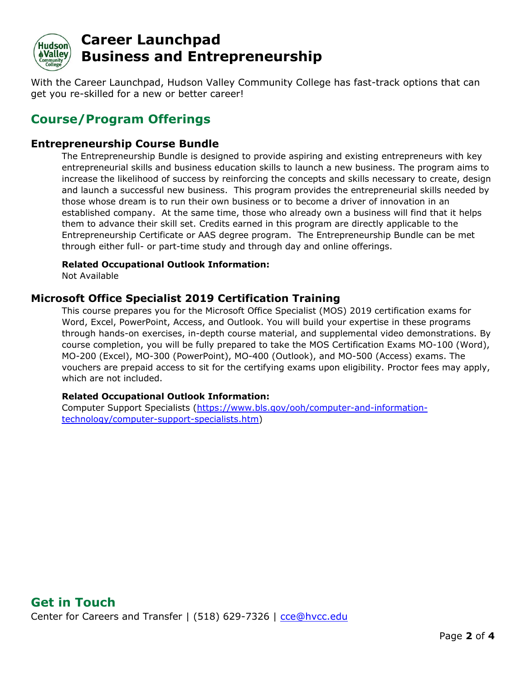

With the Career Launchpad, Hudson Valley Community College has fast-track options that can get you re-skilled for a new or better career!

# **Course/Program Offerings**

## **Entrepreneurship Course Bundle**

The Entrepreneurship Bundle is designed to provide aspiring and existing entrepreneurs with key entrepreneurial skills and business education skills to launch a new business. The program aims to increase the likelihood of success by reinforcing the concepts and skills necessary to create, design and launch a successful new business. This program provides the entrepreneurial skills needed by those whose dream is to run their own business or to become a driver of innovation in an established company. At the same time, those who already own a business will find that it helps them to advance their skill set. Credits earned in this program are directly applicable to the Entrepreneurship Certificate or AAS degree program. The Entrepreneurship Bundle can be met through either full- or part-time study and through day and online offerings.

#### **Related Occupational Outlook Information:**

Not Available

## **Microsoft Office Specialist 2019 Certification Training**

This course prepares you for the Microsoft Office Specialist (MOS) 2019 certification exams for Word, Excel, PowerPoint, Access, and Outlook. You will build your expertise in these programs through hands-on exercises, in-depth course material, and supplemental video demonstrations. By course completion, you will be fully prepared to take the MOS Certification Exams MO-100 (Word), MO-200 (Excel), MO-300 (PowerPoint), MO-400 (Outlook), and MO-500 (Access) exams. The vouchers are prepaid access to sit for the certifying exams upon eligibility. Proctor fees may apply, which are not included.

#### **Related Occupational Outlook Information:**

Computer Support Specialists [\(https://www.bls.gov/ooh/computer-and-information](https://www.bls.gov/ooh/computer-and-information-technology/computer-support-specialists.htm)[technology/computer-support-specialists.htm\)](https://www.bls.gov/ooh/computer-and-information-technology/computer-support-specialists.htm)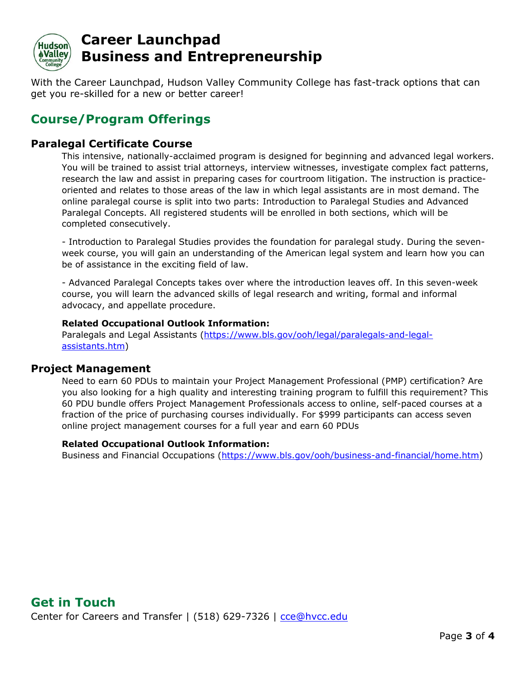

With the Career Launchpad, Hudson Valley Community College has fast-track options that can get you re-skilled for a new or better career!

# **Course/Program Offerings**

## **Paralegal Certificate Course**

This intensive, nationally-acclaimed program is designed for beginning and advanced legal workers. You will be trained to assist trial attorneys, interview witnesses, investigate complex fact patterns, research the law and assist in preparing cases for courtroom litigation. The instruction is practiceoriented and relates to those areas of the law in which legal assistants are in most demand. The online paralegal course is split into two parts: Introduction to Paralegal Studies and Advanced Paralegal Concepts. All registered students will be enrolled in both sections, which will be completed consecutively.

- Introduction to Paralegal Studies provides the foundation for paralegal study. During the sevenweek course, you will gain an understanding of the American legal system and learn how you can be of assistance in the exciting field of law.

- Advanced Paralegal Concepts takes over where the introduction leaves off. In this seven-week course, you will learn the advanced skills of legal research and writing, formal and informal advocacy, and appellate procedure.

#### **Related Occupational Outlook Information:**

Paralegals and Legal Assistants [\(https://www.bls.gov/ooh/legal/paralegals-and-legal](https://www.bls.gov/ooh/legal/paralegals-and-legal-assistants.htm)[assistants.htm\)](https://www.bls.gov/ooh/legal/paralegals-and-legal-assistants.htm)

### **Project Management**

Need to earn 60 PDUs to maintain your Project Management Professional (PMP) certification? Are you also looking for a high quality and interesting training program to fulfill this requirement? This 60 PDU bundle offers Project Management Professionals access to online, self-paced courses at a fraction of the price of purchasing courses individually. For \$999 participants can access seven online project management courses for a full year and earn 60 PDUs

#### **Related Occupational Outlook Information:**

Business and Financial Occupations [\(https://www.bls.gov/ooh/business-and-financial/home.htm\)](https://www.bls.gov/ooh/business-and-financial/home.htm)